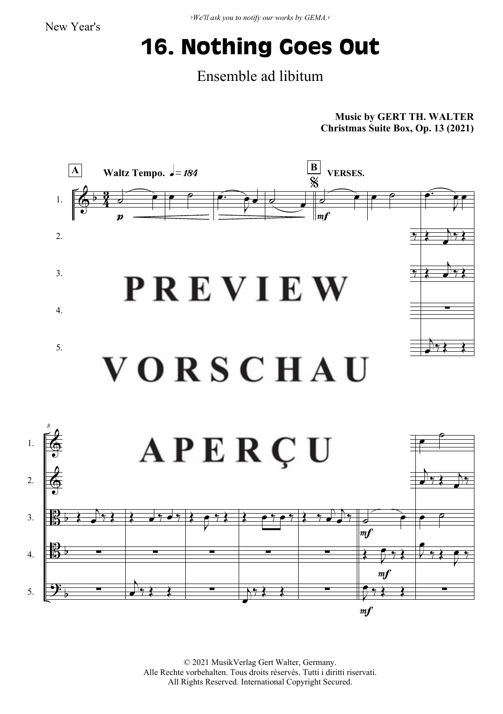## **16. Nothing Goes Out**

## Ensemble ad libitum

**Music by GERT TH. WALTER Christmas Suite Box, Op. 13 (2021)**



© 2021 MusikVerlag Gert Walter, Germany. Alle Rechte vorbehalten. Tous droits réservés. Tutti i diritti riservati. All Rights Reserved. International Copyright Secured.